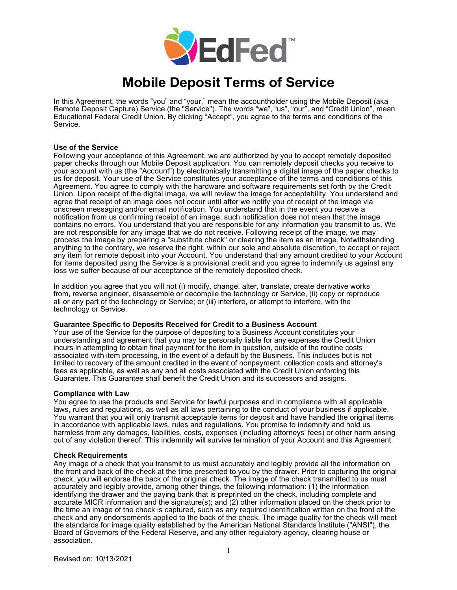

# **Mobile Deposit Terms of Service**

In this Agreement, the words "you" and "your," mean the accountholder using the Mobile Deposit (aka Remote Deposit Capture) Service (the "Service"). The words "we", "us", "our", and "Credit Union", mean Educational Federal Credit Union. By clicking "Accept", you agree to the terms and conditions of the Service.

# **Use of the Service**

Following your acceptance of this Agreement, we are authorized by you to accept remotely deposited paper checks through our Mobile Deposit application. You can remotely deposit checks you receive to your account with us (the "Account") by electronically transmitting a digital image of the paper checks to us for deposit. Your use of the Service constitutes your acceptance of the terms and conditions of this Agreement. You agree to comply with the hardware and software requirements set forth by the Credit Union. Upon receipt of the digital image, we will review the image for acceptability. You understand and agree that receipt of an image does not occur until after we notify you of receipt of the image via onscreen messaging and/or email notification. You understand that in the event you receive a notification from us confirming receipt of an image, such notification does not mean that the image contains no errors. You understand that you are responsible for any information you transmit to us. We are not responsible for any image that we do not receive. Following receipt of the image, we may process the image by preparing a "substitute check" or clearing the item as an image. Notwithstanding anything to the contrary, we reserve the right, within our sole and absolute discretion, to accept or reject any item for remote deposit into your Account. You understand that any amount credited to your Account for items deposited using the Service is a provisional credit and you agree to indemnify us against any loss we suffer because of our acceptance of the remotely deposited check.

In addition you agree that you will not (i) modify, change, alter, translate, create derivative works from, reverse engineer, disassemble or decompile the technology or Service, (ii) copy or reproduce all or any part of the technology or Service; or (iii) interfere, or attempt to interfere, with the technology or Service.

# **Guarantee Specific to Deposits Received for Credit to a Business Account**

Your use of the Service for the purpose of depositing to a Business Account constitutes your understanding and agreement that you may be personally liable for any expenses the Credit Union incurs in attempting to obtain final payment for the item in question, outside of the routine costs associated with item processing, in the event of a default by the Business. This includes but is not limited to recovery of the amount credited in the event of nonpayment, collection costs and attorney's fees as applicable, as well as any and all costs associated with the Credit Union enforcing this Guarantee. This Guarantee shall benefit the Credit Union and its successors and assigns.

## **Compliance with Law**

You agree to use the products and Service for lawful purposes and in compliance with all applicable laws, rules and regulations, as well as all laws pertaining to the conduct of your business if applicable. You warrant that you will only transmit acceptable items for deposit and have handled the original items in accordance with applicable laws, rules and regulations. You promise to indemnify and hold us harmless from any damages, liabilities, costs, expenses (including attorneys' fees) or other harm arising out of any violation thereof. This indemnity will survive termination of your Account and this Agreement.

## **Check Requirements**

Any image of a check that you transmit to us must accurately and legibly provide all the information on the front and back of the check at the time presented to you by the drawer. Prior to capturing the original check, you will endorse the back of the original check. The image of the check transmitted to us must accurately and legibly provide, among other things, the following information: (1) the information identifying the drawer and the paying bank that is preprinted on the check, including complete and accurate MICR information and the signature(s); and (2) other information placed on the check prior to the time an image of the check is captured, such as any required identification written on the front of the check and any endorsements applied to the back of the check. The image quality for the check will meet the standards for image quality established by the American National Standards Institute ("ANSI"), the Board of Governors of the Federal Reserve, and any other regulatory agency, clearing house or association.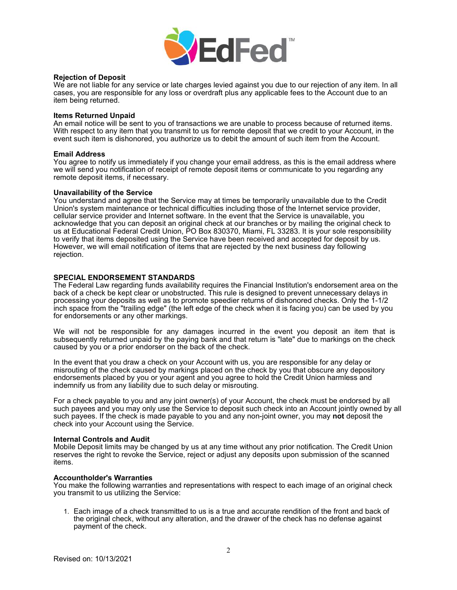

# **Rejection of Deposit**

We are not liable for any service or late charges levied against you due to our rejection of any item. In all cases, you are responsible for any loss or overdraft plus any applicable fees to the Account due to an item being returned.

## **Items Returned Unpaid**

An email notice will be sent to you of transactions we are unable to process because of returned items. With respect to any item that you transmit to us for remote deposit that we credit to your Account, in the event such item is dishonored, you authorize us to debit the amount of such item from the Account.

# **Email Address**

You agree to notify us immediately if you change your email address, as this is the email address where we will send you notification of receipt of remote deposit items or communicate to you regarding any remote deposit items, if necessary.

## **Unavailability of the Service**

You understand and agree that the Service may at times be temporarily unavailable due to the Credit Union's system maintenance or technical difficulties including those of the Internet service provider, cellular service provider and Internet software. In the event that the Service is unavailable, you acknowledge that you can deposit an original check at our branches or by mailing the original check to us at Educational Federal Credit Union, PO Box 830370, Miami, FL 33283. It is your sole responsibility to verify that items deposited using the Service have been received and accepted for deposit by us. However, we will email notification of items that are rejected by the next business day following rejection.

# **SPECIAL ENDORSEMENT STANDARDS**

The Federal Law regarding funds availability requires the Financial Institution's endorsement area on the back of a check be kept clear or unobstructed. This rule is designed to prevent unnecessary delays in processing your deposits as well as to promote speedier returns of dishonored checks. Only the 1-1/2 inch space from the "trailing edge" (the left edge of the check when it is facing you) can be used by you for endorsements or any other markings.

We will not be responsible for any damages incurred in the event you deposit an item that is subsequently returned unpaid by the paying bank and that return is "late" due to markings on the check caused by you or a prior endorser on the back of the check.

In the event that you draw a check on your Account with us, you are responsible for any delay or misrouting of the check caused by markings placed on the check by you that obscure any depository endorsements placed by you or your agent and you agree to hold the Credit Union harmless and indemnify us from any liability due to such delay or misrouting.

For a check payable to you and any joint owner(s) of your Account, the check must be endorsed by all such payees and you may only use the Service to deposit such check into an Account jointly owned by all such payees. If the check is made payable to you and any non-joint owner, you may **not** deposit the check into your Account using the Service.

## **Internal Controls and Audit**

Mobile Deposit limits may be changed by us at any time without any prior notification. The Credit Union reserves the right to revoke the Service, reject or adjust any deposits upon submission of the scanned items.

## **Accountholder's Warranties**

You make the following warranties and representations with respect to each image of an original check you transmit to us utilizing the Service:

1. Each image of a check transmitted to us is a true and accurate rendition of the front and back of the original check, without any alteration, and the drawer of the check has no defense against payment of the check.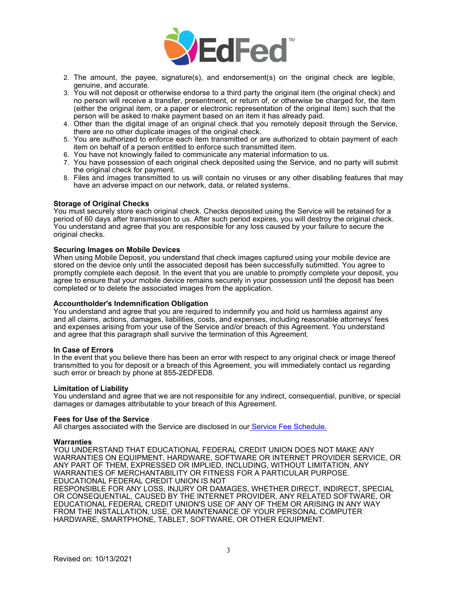

- 2. The amount, the payee, signature(s), and endorsement(s) on the original check are legible, genuine, and accurate.
- 3. You will not deposit or otherwise endorse to a third party the original item (the original check) and no person will receive a transfer, presentment, or return of, or otherwise be charged for, the item (either the original item, or a paper or electronic representation of the original item) such that the person will be asked to make payment based on an item it has already paid.
- 4. Other than the digital image of an original check that you remotely deposit through the Service, there are no other duplicate images of the original check.
- 5. You are authorized to enforce each item transmitted or are authorized to obtain payment of each item on behalf of a person entitled to enforce such transmitted item.
- 6. You have not knowingly failed to communicate any material information to us.
- 7. You have possession of each original check deposited using the Service, and no party will submit the original check for payment.
- 8. Files and images transmitted to us will contain no viruses or any other disabling features that may have an adverse impact on our network, data, or related systems.

# **Storage of Original Checks**

You must securely store each original check. Checks deposited using the Service will be retained for a period of 60 days after transmission to us. After such period expires, you will destroy the original check. You understand and agree that you are responsible for any loss caused by your failure to secure the original checks.

## **Securing Images on Mobile Devices**

When using Mobile Deposit, you understand that check images captured using your mobile device are stored on the device only until the associated deposit has been successfully submitted. You agree to promptly complete each deposit. In the event that you are unable to promptly complete your deposit, you agree to ensure that your mobile device remains securely in your possession until the deposit has been completed or to delete the associated images from the application.

## **Accountholder's Indemnification Obligation**

You understand and agree that you are required to indemnify you and hold us harmless against any and all claims, actions, damages, liabilities, costs, and expenses, including reasonable attorneys' fees and expenses arising from your use of the Service and/or breach of this Agreement. You understand and agree that this paragraph shall survive the termination of this Agreement.

## **In Case of Errors**

In the event that you believe there has been an error with respect to any original check or image thereof transmitted to you for deposit or a breach of this Agreement, you will immediately contact us regarding such error or breach by phone at 855-2EDFED8.

## **Limitation of Liability**

You understand and agree that we are not responsible for any indirect, consequential, punitive, or special damages or damages attributable to your breach of this Agreement.

#### **Fees for Use of the Service**

All charges associated with the Service are disclosed in our [Service Fee Schedule.](http://www.edfed.org/servicefees)

#### **Warranties**

YOU UNDERSTAND THAT EDUCATIONAL FEDERAL CREDIT UNION DOES NOT MAKE ANY WARRANTIES ON EQUIPMENT, HARDWARE, SOFTWARE OR INTERNET PROVIDER SERVICE, OR ANY PART OF THEM, EXPRESSED OR IMPLIED, INCLUDING, WITHOUT LIMITATION, ANY WARRANTIES OF MERCHANTABILITY OR FITNESS FOR A PARTICULAR PURPOSE. EDUCATIONAL FEDERAL CREDIT UNION IS NOT

RESPONSIBLE FOR ANY LOSS, INJURY OR DAMAGES, WHETHER DIRECT, INDIRECT, SPECIAL OR CONSEQUENTIAL, CAUSED BY THE INTERNET PROVIDER, ANY RELATED SOFTWARE, OR EDUCATIONAL FEDERAL CREDIT UNION'S USE OF ANY OF THEM OR ARISING IN ANY WAY FROM THE INSTALLATION, USE, OR MAINTENANCE OF YOUR PERSONAL COMPUTER HARDWARE, SMARTPHONE, TABLET, SOFTWARE, OR OTHER EQUIPMENT.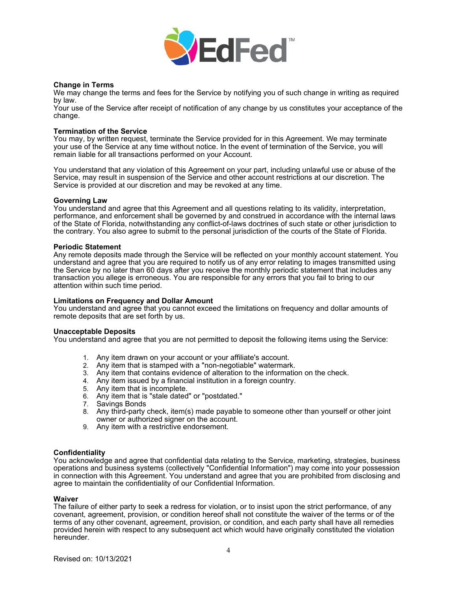

# **Change in Terms**

We may change the terms and fees for the Service by notifying you of such change in writing as required by law.

Your use of the Service after receipt of notification of any change by us constitutes your acceptance of the change.

## **Termination of the Service**

You may, by written request, terminate the Service provided for in this Agreement. We may terminate your use of the Service at any time without notice. In the event of termination of the Service, you will remain liable for all transactions performed on your Account.

You understand that any violation of this Agreement on your part, including unlawful use or abuse of the Service, may result in suspension of the Service and other account restrictions at our discretion. The Service is provided at our discretion and may be revoked at any time.

## **Governing Law**

You understand and agree that this Agreement and all questions relating to its validity, interpretation, performance, and enforcement shall be governed by and construed in accordance with the internal laws of the State of Florida, notwithstanding any conflict-of-laws doctrines of such state or other jurisdiction to the contrary. You also agree to submit to the personal jurisdiction of the courts of the State of Florida.

## **Periodic Statement**

Any remote deposits made through the Service will be reflected on your monthly account statement. You understand and agree that you are required to notify us of any error relating to images transmitted using the Service by no later than 60 days after you receive the monthly periodic statement that includes any transaction you allege is erroneous. You are responsible for any errors that you fail to bring to our attention within such time period.

## **Limitations on Frequency and Dollar Amount**

You understand and agree that you cannot exceed the limitations on frequency and dollar amounts of remote deposits that are set forth by us.

## **Unacceptable Deposits**

You understand and agree that you are not permitted to deposit the following items using the Service:

- 1. Any item drawn on your account or your affiliate's account.
- 2. Any item that is stamped with a "non-negotiable" watermark.
- 3. Any item that contains evidence of alteration to the information on the check.
- 4. Any item issued by a financial institution in a foreign country.
- 5. Any item that is incomplete.
- 6. Any item that is "stale dated" or "postdated."
- Savings Bonds
- 8. Any third-party check, item(s) made payable to someone other than yourself or other joint owner or authorized signer on the account.
- 9. Any item with a restrictive endorsement.

## **Confidentiality**

You acknowledge and agree that confidential data relating to the Service, marketing, strategies, business operations and business systems (collectively "Confidential Information") may come into your possession in connection with this Agreement. You understand and agree that you are prohibited from disclosing and agree to maintain the confidentiality of our Confidential Information.

## **Waiver**

The failure of either party to seek a redress for violation, or to insist upon the strict performance, of any covenant, agreement, provision, or condition hereof shall not constitute the waiver of the terms or of the terms of any other covenant, agreement, provision, or condition, and each party shall have all remedies provided herein with respect to any subsequent act which would have originally constituted the violation hereunder.